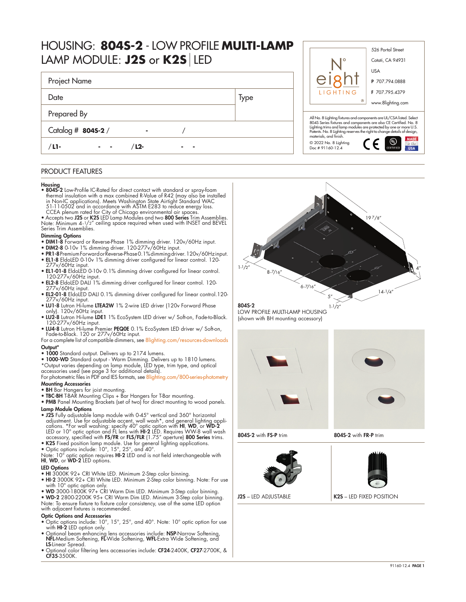# HOUSING: **804S-2** - LOW PROFILE **MULTI-LAMP** LAMP MODULE: **J2S** or **K2S** LED

| Project Name       |       |      |
|--------------------|-------|------|
| Date               |       | Type |
| Prepared By        |       |      |
| Catalog # 8045-2 / |       |      |
| /L1-<br>٠          | / L2- |      |

# PRODUCT FEATURES

#### Housing

• 804S-2 Low-Profile IC-Rated for direct contact with standard or spray-foam thermal insulation with a max combined R-Value of R42 (may also be installed<br>in Non-IC applications). Meets Washington State Airtight Standard WAC<br>51-11-0502 and in accordance with ASTM E283 to reduce energy loss.

CCEA plenum rated for City of Chicago environmental air spaces.<br>• Accepts two **J2S** or **K2S** LED Lamp Modules and two **800 Series** Trim Assemblies.<br>Note: Minimum 4-1/2" ceiling space required when used with INSET and BEVEL Series Trim Assemblies.

### Dimming Options

- 
- DIM1-8 Forward or Reverse-Phase 1% dimming driver. 120v/60Hz input. DIM2-8 0-10v 1% dimming driver. 120-277v/60Hz input.
- PR1-8 Premium Forward or Reverse-Phase 0.1% dimming driver. 120v/60Hz input. EL1-8 EldoLED 0-10v 1% dimming driver configured for linear control. 120-
- 277v/60Hz input.
- EL1-01-8 EldoLED 0-10v 0.1% dimming driver configured for linear control. 120-277v/60Hz input.
- EL2-8 EldoLED DALI 1% dimming driver configured for linear control. 120- 277v/60Hz input.
- EL2-01-8 EldoLED DALI 0.1% dimming driver configured for linear control.120- 277v/60Hz input.
- LU1-8 Lutron Hi-lume LTEA2W 1% 2-wire LED driver (120v Forward Phase only). 120v/60Hz input.
- LU2-8 Lutron Hi-lume LDE1 1% EcoSystem LED driver w/ Soft-on, Fade-to-Black. 120-277v/60Hz input.
- LU4-8 Lutron Hi-lume Premier PEQ0E 0.1% EcoSystem LED driver w/ Soft-on, - Fade-to-Black. 120 or 277v/60Hz input.<br>For a complete list of compatible dimmers, see <mark>8lighting.com/resources-downloads</mark>
- Output\*
- 1000 Standard output. Delivers up to 2174 lumens.
- 1000-WD Standard output Warm Dimming. Delivers up to 1810 lumens. \*Output varies depending on lamp module, LED type, trim type, and optical accessories used (see page 3 for additional details).

#### For photometric files in PDF and IES formats, see [8lighting.com/800-series-photometry](https://8lighting.com/800-series-photometry/) Mounting Accessories

- 
- BH Bar Hangers for joist mounting. TBC-BH T-BAR Mounting Clips + Bar Hangers for T-Bar mounting.
- PMB Panel Mounting Brackets (set of two) for direct mounting to wood panels. Lamp Module Options
- J2S Fully adjustable lamp module with 0-45° vertical and 360° horizontal<br>adjustment. Use for adjustable accent, wall wash\*, and general lighting appli-<br>cations. \*For wall washing: specify 40° optic option with **HI, WD**,
- K2S Fixed position lamp module. Use for general lighting applications. Optic options include: 10°, 15°, 25°, and 40°.
- 

Note: 10<sup>°</sup> optic option requires HI-2 LED and is not field interchangeable with HI, WD, or WD-2 LED options.

### LED Options

- 
- HI 3000K 92+ CRI White LED. Minimum 2-Step color binning. HI-2 3000K 92+ CRI White LED. Minimum 2-Step color binning. Note: For use
- with 10° optic option only. WD 3000-1800K 97+ CRI Warm Dim LED. Minimum 3-Step color binning.
- WD-2 2800-2200K 95+ CRI Warm Dim LED. Minimum 3-Step color binning.

Note: To ensure fixture to fixture color consistency, use of the same LED option with adjacent fixtures is recommended.

### Optic Options and Accessories

- Optic options include: 10°, 15°, 25°, and 40°. Note: 10° optic option for use with **HI-2** LED option only.
- Optional beam enhancing lens accessories include: NSP-Narrow Softening, NFL-Medium Softening, FL-Wide Softening, WFL-Extra Wide Softening, and LS-Linear Spread.
- Optional color filtering lens accessories include: CF24-2400K, CF27-2700K, & CF35-3500K.



526 Portal Street

14-1/4" 6-7/16" 8-7/16" 1-1/2"  $1 - \frac{1}{2}$  $5'$ 804S-2

LOW PROFILE MULTI-LAMP HOUSING (shown with BH mounting accessory)





4"

804S-2 with FS-P trim 804S-2 with FR-P trim





J2S – LED ADJUSTABLE **K2S** – LED FIXED POSITION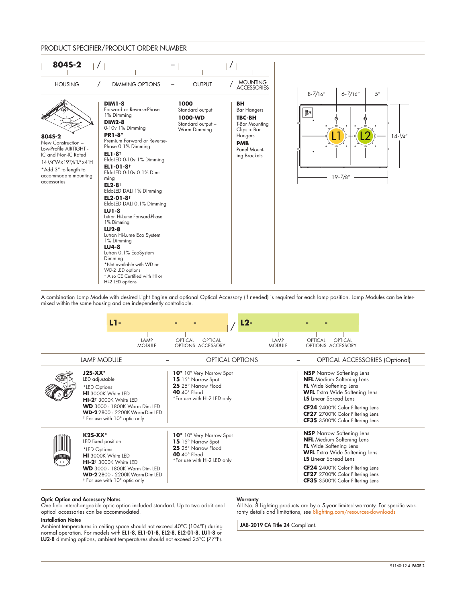

A combination Lamp Module with desired Light Engine and optional Optical Accessory (if needed) is required for each lamp position. Lamp Modules can be intermixed within the same housing and are independently controllable.

|                      | L1-<br>LAMP<br><b>MODULE</b>                                                                                                                                                                                                                    | $L2-$<br>OPTICAL<br>OPTICAL<br>OPTIONS ACCESSORY                                                                                          | LAMP<br>OPTICAL<br>OPTICAL<br><b>MODULE</b><br>OPTIONS ACCESSORY                                                                                                                                                                                                                          |
|----------------------|-------------------------------------------------------------------------------------------------------------------------------------------------------------------------------------------------------------------------------------------------|-------------------------------------------------------------------------------------------------------------------------------------------|-------------------------------------------------------------------------------------------------------------------------------------------------------------------------------------------------------------------------------------------------------------------------------------------|
|                      | <b>LAMP MODULE</b>                                                                                                                                                                                                                              | <b>OPTICAL OPTIONS</b>                                                                                                                    | <b>OPTICAL ACCESSORIES (Optional)</b>                                                                                                                                                                                                                                                     |
|                      | $J2S-XX*$<br>LED adjustable<br>*LED Options:<br><b>HI</b> 3000K White LED<br>HI-2 <sup>t</sup> 3000K White LED<br><b>WD</b> 3000 - 1800K Warm Dim LED<br><b>WD-2</b> 2800 - 2200K Warm Dim LED<br><sup>†</sup> For use with 10° optic only      | 10 <sup>*</sup> 10° Very Narrow Spot<br>15 15° Narrow Spot<br>25 25° Narrow Flood<br>40 $40^{\circ}$ Flood<br>*For use with HI-2 LED only | <b>NSP</b> Narrow Softening Lens<br><b>NFL</b> Medium Softening Lens<br><b>FL</b> Wide Softening Lens<br><b>WFL</b> Extra Wide Softening Lens<br><b>LS</b> Linear Spread Lens<br>CF24 2400°K Color Filtering Lens<br>CF27 2700°K Color Filtering Lens<br>CF35 3500°K Color Filtering Lens |
| WW<br>$\blacksquare$ | $K2S-XX^*$<br>LED fixed position<br>*LED Options:<br><b>HI</b> 3000K White LED<br>HI-2 <sup>t</sup> 3000K White LED<br><b>WD</b> 3000 - 1800K Warm Dim LED<br><b>WD-2</b> 2800 - 2200K Warm Dim LED<br><sup>†</sup> For use with 10° optic only | 10 <sup>*</sup> 10° Very Narrow Spot<br>15 15° Narrow Spot<br>25 25° Narrow Flood<br>40 $40^{\circ}$ Flood<br>*For use with HI-2 LED only | <b>NSP</b> Narrow Softening Lens<br><b>NFL</b> Medium Softening Lens<br>FL Wide Softening Lens<br><b>WFL</b> Extra Wide Softening Lens<br><b>LS</b> Linear Spread Lens<br>CF24 2400°K Color Filtering Lens<br>CF27 2700°K Color Filtering Lens<br>CF35 3500°K Color Filtering Lens        |

#### Optic Option and Accessory Notes

One field interchangeable optic option included standard. Up to two additional optical accessories can be accommodated.

#### Installation Notes

Ambient temperatures in ceiling space should not exceed 40°C (104°F) during normal operation. For models with EL1-8, EL1-01-8, EL2-8, EL2-01-8, LU1-8 or LU2-8 dimming options, ambient temperatures should not exceed 25°C (77°F).

#### **Warranty**

All No. 8 Lighting products are by a 5-year limited warranty. For specific warranty details and limitations, see [8lighting.com/resources-downloads](https://8lighting.com/resources-downloads/) 

JA8-2019 CA Title 24 Compliant.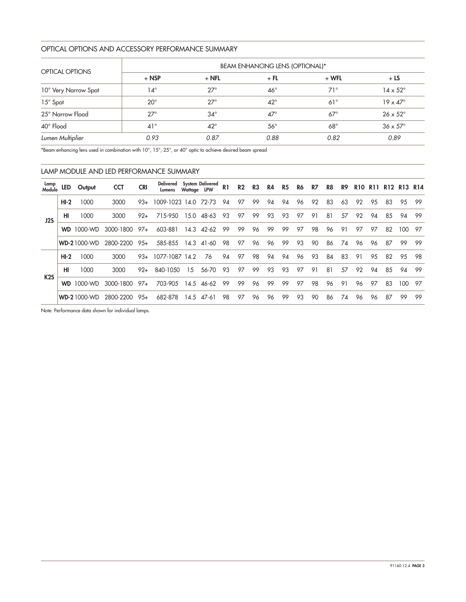# OPTICAL OPTIONS AND ACCESSORY PERFORMANCE SUMMARY

|                      |              |              | <b>BEAM ENHANCING LENS (OPTIONAL)*</b> |              |                        |
|----------------------|--------------|--------------|----------------------------------------|--------------|------------------------|
| OPTICAL OPTIONS      | $+$ NSP      | $+$ NFL      | $+$ FL                                 | $+ WFL$      | $+LS$                  |
| 10° Very Narrow Spot | 14°          | $27^\circ$   | $46^{\circ}$                           | $71^\circ$   | $14 \times 52^{\circ}$ |
| 15° Spot             | $20^{\circ}$ | $27^\circ$   | $42^{\circ}$                           | $61^{\circ}$ | $19 \times 47^\circ$   |
| 25° Narrow Flood     | $27^\circ$   | $34^\circ$   | $47^\circ$                             | $67^\circ$   | $26 \times 52^{\circ}$ |
| 40° Flood            | $41^{\circ}$ | $42^{\circ}$ | $56^{\circ}$                           | $68^\circ$   | $36 \times 57^\circ$   |
| Lumen Multiplier     | 0.93         | 0.87         | 0.88                                   | 0.82         | 0.89                   |

\*Beam enhancing lens used in combination with 10°, 15°, 25°, or 40° optic to achieve desired beam spread

|                  |           |                    | LAMP MODULE AND LED PERFORMANCE SUMMARY |            |                            |             |                  |                |                |                |    |                |    |    |    |    |            |            |                 |         |     |
|------------------|-----------|--------------------|-----------------------------------------|------------|----------------------------|-------------|------------------|----------------|----------------|----------------|----|----------------|----|----|----|----|------------|------------|-----------------|---------|-----|
| Lamp<br>Module   | LED       | Output             | <b>CCT</b>                              | <b>CRI</b> | <b>Delivered</b><br>Lumens | Wattage LPW | System Delivered | R <sub>1</sub> | R <sub>2</sub> | R <sub>3</sub> | R4 | R <sub>5</sub> | R6 | R7 | R8 | R9 | <b>R10</b> | <b>R11</b> | R <sub>12</sub> | R13 R14 |     |
|                  | $HI-2$    | 1000               | 3000                                    | $93+$      | 1009-1023 14.0             |             | 72-73            | 94             | 97             | 99             | 94 | 94             | 96 | 92 | 83 | 63 | 92         | 95         | 83              | 95      | -99 |
| J2S              | HI        | 1000               | 3000                                    | $92+$      | 715-950                    | 15.0        | 48-63            | 93             | 97             | 99             | 93 | 93             | 97 | 91 | 81 | 57 | 92         | 94         | 85              | 94      | 99  |
|                  | <b>WD</b> | 1000-WD            | 3000-1800                               | $97+$      | 603-881                    | 14.3        | $42 - 62$        | 99             | 99             | 96             | 99 | 99             | 97 | 98 | 96 | 91 | 97         | 97         | 82              | 100     | 97  |
|                  |           | <b>WD-21000-WD</b> | 2800-2200                               | $95+$      | 585-855                    | 14.3        | 41-60            | 98             | 97             | 96             | 96 | 99             | 93 | 90 | 86 | 74 | 96         | 96         | 87              | 99      | -99 |
|                  | $HI-2$    | 1000               | 3000                                    | $93+$      | 1077-1087                  | 142         | 76               | 94             | 97             | 98             | 94 | 94             | 96 | 93 | 84 | 83 | 91         | 95         | 82              | 95      | 98  |
|                  | HI        | 1000               | 3000                                    | $92+$      | 840-1050                   | 15          | 56-70            | 93             | 97             | 99             | 93 | 93             | 97 | 91 | 81 | 57 | 92         | 94         | 85              | 94      | 99  |
| K <sub>2</sub> S | <b>WD</b> | 1000-WD            | 3000-1800                               | 97+        | 703-905                    | 14.5        | 46-62            | 99             | 99             | 96             | 99 | 99             | 97 | 98 | 96 | 91 | 96         | 97         | 83              | 100     | -97 |
|                  |           | <b>WD-21000-WD</b> | 2800-2200                               | $95+$      | 682-878                    | 14.5        | 47-61            | 98             | 97             | 96             | 96 | 99             | 93 | 90 | 86 | 74 | 96         | 96         | 87              | 99      | 99  |

Note: Performance data shown for individual lamps.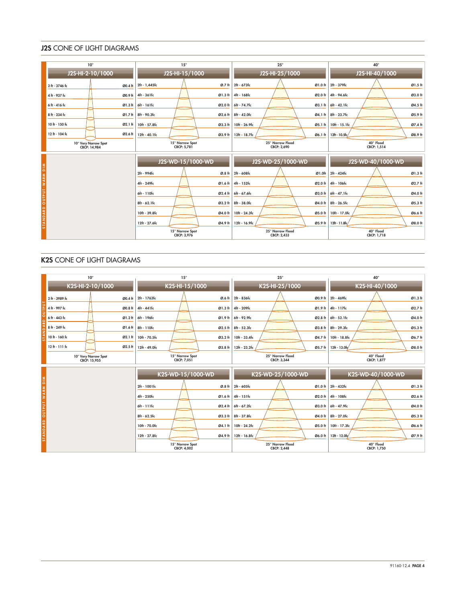# J2S CONE OF LIGHT DIAGRAMS

|                          | $10^{\circ}$                         |         | $15^{\circ}$                   |         | $25^\circ$                      |         | $40^{\circ}$              |         |  |  |
|--------------------------|--------------------------------------|---------|--------------------------------|---------|---------------------------------|---------|---------------------------|---------|--|--|
|                          | J2S-HI-2-10/1000                     |         | J2S-HI-15/1000                 |         | J2S-HI-25/1000                  |         | J2S-HI-40/1000            |         |  |  |
|                          | 2 ft - 3746 fc                       | Ø0.4 ft | 2ft - 1,445fc                  | Ø.7 ft  | 2ft - 673fc                     | Ø1.0 ft | 2ft - 379fc               | Ø1.5 ft |  |  |
|                          | 4 ft - 937 fc                        | Ø0.9 ft | 4ft - 361fc                    | Ø1.3 ft | 4ft - 168fc                     | Ø2.0 ft | 4ft - 94.6fc              | Ø3.0 ft |  |  |
|                          | 6ft - 416 fc                         | Ø1.3 ft | 6ft - 161fc                    | Ø2.0 ft | 6ft - 74.7fc                    | Ø3.1 ft | 6ft - 42.1fc              | Ø4.5 ft |  |  |
|                          | 8 ft - 234 fc                        | Ø1.7 ft | 8ft - 90.3fc                   | Ø2.6 ft | 8ft - 42.0fc                    | Ø4.1 ft | 8ft - 23.7fc              | Ø5.9 ft |  |  |
|                          | 10 ft - 150 fc                       | Ø2.1 ft | 10ft - 57.8fc                  | Ø3.3 ft | 10ft - 26.9fc                   | Ø5.1 ft | 10ft - 15.1fc             | Ø7.4 ft |  |  |
|                          | 12 ft - 104 fc                       | Ø2.6 ft | $12ft - 40.1fc$                | Ø3.9 ft | 12ft - 18.7fc                   | Ø6.1 ft | 12ft - 10.5fc/            | Ø8.9 ft |  |  |
|                          | 10° Very Narrow Spot<br>CBCP: 14,984 |         | 15° Narrow Spot<br>CBCP: 5,781 |         | 25° Narrow Flood<br>CBCP: 2,690 |         | 40° Flood<br>CBCP: 1,514  |         |  |  |
|                          |                                      |         | J2S-WD-15/1000-WD              |         | J2S-WD-25/1000-WD               |         | J2S-WD-40/1000-WD         |         |  |  |
| STANDARD OUTPUT-WARM DIM |                                      |         | 2ft - 994fc                    | Ø.8 ft  | 2ft - 608fc                     | Ø1.0ft  | 2ft - 424fc               | Ø1.3 ft |  |  |
|                          |                                      |         | 4ft - 249fc                    | Ø1.6 ft | 4ft - 152fc                     | Ø2.0 ft | 4ft - 106fc               | Ø2.7 ft |  |  |
|                          |                                      |         | 6ft - 110fc                    | Ø2.4 ft | 6ft - 67.6fc                    | Ø3.0 ft | 6ft - 47.1fc              | Ø4.0 ft |  |  |
|                          |                                      |         | 8ft - 62.1fc                   | Ø3.2 ft | 8ft - 38.0fc                    | Ø4.0 ft | 8ft - 26.5fc              | Ø5.3 ft |  |  |
|                          |                                      |         | 10ft - 39.8fc                  | Ø4.0 ft | 10ft - 24.3fc                   | Ø5.0 ft | 10ft - 17.0fc             | Ø6.6 ft |  |  |
|                          |                                      |         | 12ft - 27.6fc                  | Ø4.9 ft | 12ft - 16.9fc                   | Ø5.9 ft | 12ft - 11.8fc/<br>Ø8.0 ft |         |  |  |
|                          |                                      |         | 15° Narrow Spot<br>CBCP: 3,976 |         | 25° Narrow Flood<br>CBCP: 2.433 |         | 40° Flood<br>CBCP: 1,718  |         |  |  |

# K2S CONE OF LIGHT DIAGRAMS

|                          | $10^{\circ}$                         | $15^\circ$                            | $25^{\circ}$                             | $40^{\circ}$             |  |  |  |
|--------------------------|--------------------------------------|---------------------------------------|------------------------------------------|--------------------------|--|--|--|
|                          | K2S-HI-2-10/1000                     | K2S-HI-15/1000                        | K2S-HI-25/1000                           | K2S-HI-40/1000           |  |  |  |
|                          | 2 ft - 3989 fc<br>Ø0.4 ft            | Ø.6 ft<br>2ft - 1763fc                | 2ft - 836fc<br>Ø0.9 ft                   | Ø1.3 ft<br>2ft - 469fc   |  |  |  |
|                          | 4 ft - 997 fc<br>Ø0.8 ft             | 4ft - 441fc<br>Ø1.3 ft                | 4ft - 209fc<br>Ø1.9 ft                   | Ø2.7 ft<br>4ft - 117fc   |  |  |  |
|                          | 6 ft - 443 fc<br>Ø1.2ft              | 6ft - 196fc<br>Ø1.9 ft                | 6ft - 92.9fc<br>Ø2.8 ft                  | 6ft - 52.1fc<br>Ø4.0 ft  |  |  |  |
|                          | 8 ft - 249 fc<br>Ø1.6 ft             | 8ft - 110fc<br>Ø2.5 ft                | 8ft - 52.3fc<br>$\varnothing$ 3.8 ft     | Ø5.3 ft<br>8ft - 29.3fc  |  |  |  |
|                          | 10 ft - 160 fc<br>Ø2.1 ft            | 10ft - 70.5fc<br>Ø3.2 ft              | 10ft - 33.4fc<br>Ø4.7 ft                 | Ø6.7 ft<br>10ft - 18.8fc |  |  |  |
|                          | $12th - 111th$<br>Ø2.5 ft            | 12ft - 49.0fc<br>Ø3.8 ft              | 12ft - 23.2fc<br>Ø5.7 ft                 | 12ft - 13.0fc<br>Ø8.0 ft |  |  |  |
|                          | 10° Very Narrow Spot<br>CBCP: 15.955 | 15° Narrow Spot<br>CBCP: 7.051        | 25° Narrow Flood<br>CBCP: 3.344          | 40° Flood<br>CBCP: 1.877 |  |  |  |
|                          |                                      | K2S-WD-15/1000-WD                     | K2S-WD-25/1000-WD                        | K2S-WD-40/1000-WD        |  |  |  |
| STANDARD OUTPUT-WARM DIM |                                      | 2ft - 1001fc                          | Ø.8 ft 2ft - 605fc<br>Ø1.0 <sub>ft</sub> | Ø1.3 ft<br>2ft - 432fc   |  |  |  |
|                          |                                      | 4ft - 250fc                           | Ø1.6 ft 4ft - 151fc<br>Ø2.0 ft           | 4ft - 108fc<br>Ø2.6 ft   |  |  |  |
|                          |                                      | 6ft - 111fc<br>Ø2.4 ft                | 6ft - 67.2fc<br>Ø3.0 ft                  | 6ft - 47.9fc<br>Ø4.0 ft  |  |  |  |
|                          |                                      | 8ft - 62.5fc<br>Ø3.3 ft               | 8ft - 37.8fc<br>Ø4.0 ft                  | Ø5.3 ft<br>8ft - 27.0fc  |  |  |  |
|                          |                                      | 10ft - 70.0fc<br>Ø4.1 ft              | 10ft - 24.2fc<br>Ø5.0 ft                 | 10ft - 17.3fc<br>Ø6.6 ft |  |  |  |
|                          |                                      | 12ft - 27.8fc<br>Ø4.9 ft              | 12ft - 16.8fc<br>Ø6.0 ft                 | 12ft - 12.0fc<br>Ø7.9 ft |  |  |  |
|                          |                                      | 15° Narrow Spot<br><b>CBCP: 4,002</b> | 25° Narrow Flood<br><b>CBCP: 2,448</b>   | 40° Flood<br>CBCP: 1,750 |  |  |  |